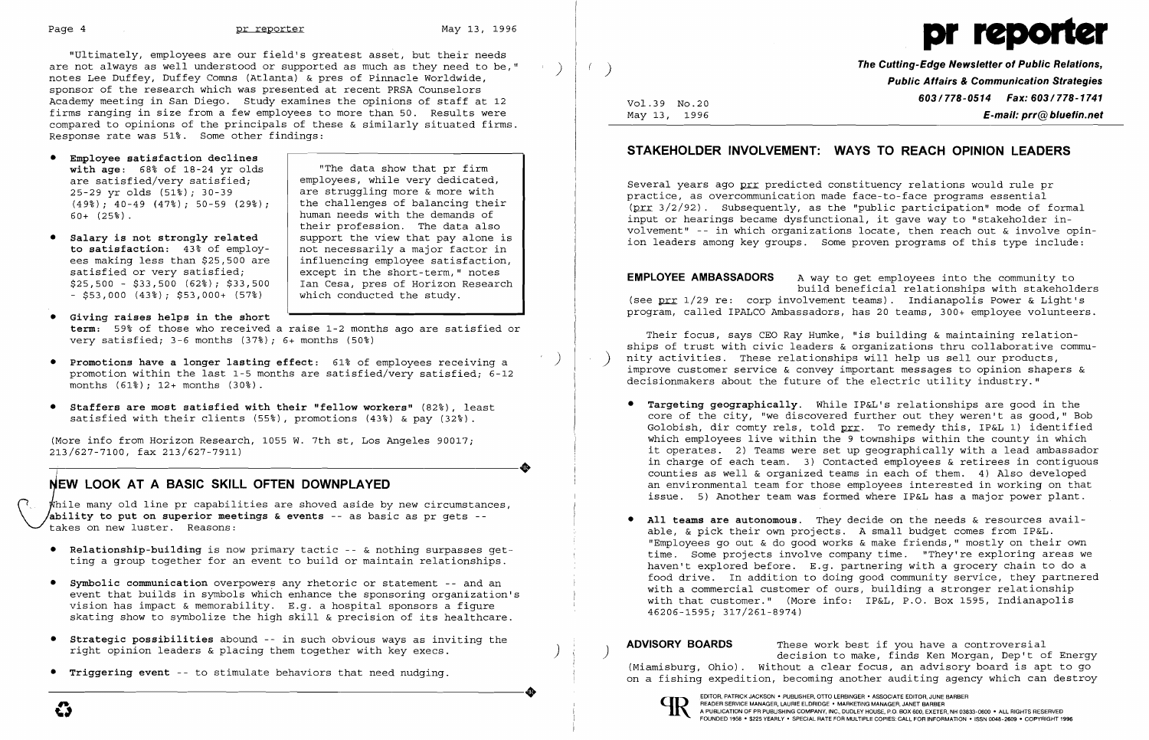Page 4 and the preporter of the May 13, 1996

- • **Employee satisfaction declines with age:** 68% of 18-24 yr olds are satisfied/very satisfied; employees, while very dedicated,<br>25-29 yr olds (51%); 30-39 are struggling more & more with 25-29 yr olds  $(51\%)$ ; 30-39 are struggling more & more with  $(49\%)$ ; 40-49  $(47\%)$ ; 50-59  $(29\%)$ ; the challenges of balancing thei
- **Salary is not strongly related** support the view that pay alone is to satisfaction: 43% of employ- not necessarily a major factor in satisfied or very satisfied;  $\begin{array}{|l|l|}\n \hline\n s25,500 - $33,500 (628); $33,500 \quad \text{Ian Cesa, pres of horizon Research}\n \hline\n\end{array}$  $-$  \$53,000 (43%); \$53,000+ (57%)

"Ultimately, employees are our field's greatest asset, but their needs are not always as well understood or supported as much as they need to be," notes Lee Duffey, Duffey Comns (Atlanta) & pres of Pinnacle Worldwide, sponsor of the research which was presented at recent PRSA Counselors Academy meeting in San Diego. Study examines the opinions of staff at 12 firms ranging in size from a few employees to more than 50. Results were compared to opinions of the principals of these & similarly situated firms. Response rate was 51%. Some other findings:

 "The data show that pr firm  $(49\%)$ ;  $40-49$  (47%); 50-59 (29%); the challenges of balancing their<br>60+ (25%). human needs with the demands of their profession. The data also **to satisfaction:** 43% of employ- not necessarily a major factor in ees making less than \$25,500 are | influencing employee satisfaction, ees making less than \$25,500 are influencing employee satisfaction,<br>satisfied or very satisfied; except in the short-term," notes Ian Cesa, pres of Horizon Research<br>which conducted the study.

 $\bigcup_{i=1}^{n}$ While many old line pr capabilities are shoved aside by new circumstances, **ability to put on superior meetings & events** -- as basic as pr gets takes on new luster. Reasons:

- • **Giving raises helps in the short term:** 59% of those who received a raise 1-2 months ago are satisfied or very satisfied; 3-6 months (37%); 6+ months (50%)
- • **Promotions have a longer lasting effect:** 61% of employees receiving a promotion within the last 1-5 months are satisfied/very satisfied; 6-12 months (61%); 12+ months (30%).
- **• Staffers are most satisfied with their "fellow workers"** (82%), least satisfied with their clients (55%), promotions (43%) & pay (32%).

Several years ago prr predicted constituency relations would rule pr practice, as overcommunication made face-to-face programs essential (prr 3/2/92). Subsequently, as the "public participation" mode of formal input or hearings became dysfunctional, it gave way to "stakeholder involvement" - in which organizations locate, then reach out & involve opinion leaders among key groups. Some proven programs of this type include:

**EMPLOYEE AMBASSADORS** A way to get employees into the community to build beneficial relationships with stakeholders (see  $prr$  1/29 re: corp involvement teams). Indianapolis Power & Light's program, called IPALCO Ambassadors, has 20 teams, 300+ employee volunteers.

(More info from Horizon Research, 1055 W. 7th st, Los Angeles 90017; 213/627-7100, fax 213/627-7911)

j

## EW **LOOK AT A BASIC SKILL OFTEN DOWNPLAYED**

- **• Relationship-building** is now primary tactic -- & nothing surpasses getting a group together for an event to build or maintain relationships.
- **• Symbolic communication** overpowers any rhetoric or statement -- and an event that builds in symbols which enhance the sponsoring organization's vision has impact & memorability. E.g. a hospital sponsors a figure skating show to symbolize the high skill & precision of its healthcare.
- 
- 



) ) **The Cutting-Edge Newsletter of Public Relations, Public Affairs & Communication Strategies 603/778-0514 Fax: 603/778-1741 E-mail: prr@bluefin.net** 

Vol.39 No.20 May 13, 1996

# **STAKEHOLDER INVOLVEMENT: WAYS TO REACH OPINION LEADERS**

) )

Their focus, says CEO Ray Humke, "is building & maintaining relationships of trust with civic leaders & organizations thru collaborative community activities. These relationships will help us sell our products, improve customer service & convey important messages to opinion shapers & decisionmakers about the future of the electric utility industry."

• **Targeting geographically.** While IP&L's relationships are good in the core of the city, "we discovered further out they weren't as good," Bob Golobish, dir comty rels, told prr. To remedy this, IP&L 1) identified which employees live within the 9 townships within the county in which it operates. 2} Teams were set up geographically with a lead ambassador in charge of each team. 3} Contacted employees & retirees in contiguous counties as well & organized teams in each of them. 4} Also developed an environmental team for those employees interested in working on that issue. 5} Another team was formed where IP&L has a major power plant.

• **All teams are autonomous.** They decide on the needs & resources avail-"Employees go out & do good works & make friends," mostly on their own time. Some projects involve company time. "They're exploring areas we haven't explored before. E.g. partnering with a grocery chain to do a food drive. In addition to doing good community service, they partnered with a commercial customer of ours, building a stronger relationship with that customer." (More info: IP&L, P.O. Box 1595, Indianapolis

- 
- able, & pick their own projects. A small budget comes from IP&L. 46206-1595; 317/261-8974)

• Strategic possibilities abound -- in such obvious ways as inviting the<br>
right opinion leaders & placing them together with key execs.<br>
(Miamisburg, Ohio). Without a clear focus, an advisory board is apt to go (Miamisburg, Ohio). Without a clear focus, an advisory board is apt to go **• Triggering event** -- to stimulate behaviors that need nudging. on a fishing expedition, becoming another auditing agency which can destroy Triggering event -- to stimulate behaviors that need nudging.<br>
(Miamisburg, Ohio). Without a clear focus, an advisory board is apt to the same of a strip and the and the same of a strip and the particular contents and the





A PUBLICATION OF PR PUBLISHING COMPANY, INC., DUDLEY HOUSE, P.O. BOX 600, EXETER, NH 03833-0600 · ALL RIGHTS RESERVED FOUNDED 1958 • \$225 YEARLY· SPECIAL RATE FOR MULTIPLE COPIES: CALL FOR INFORMATION· ISSN 0048-2609· COPYRIGHT 1996